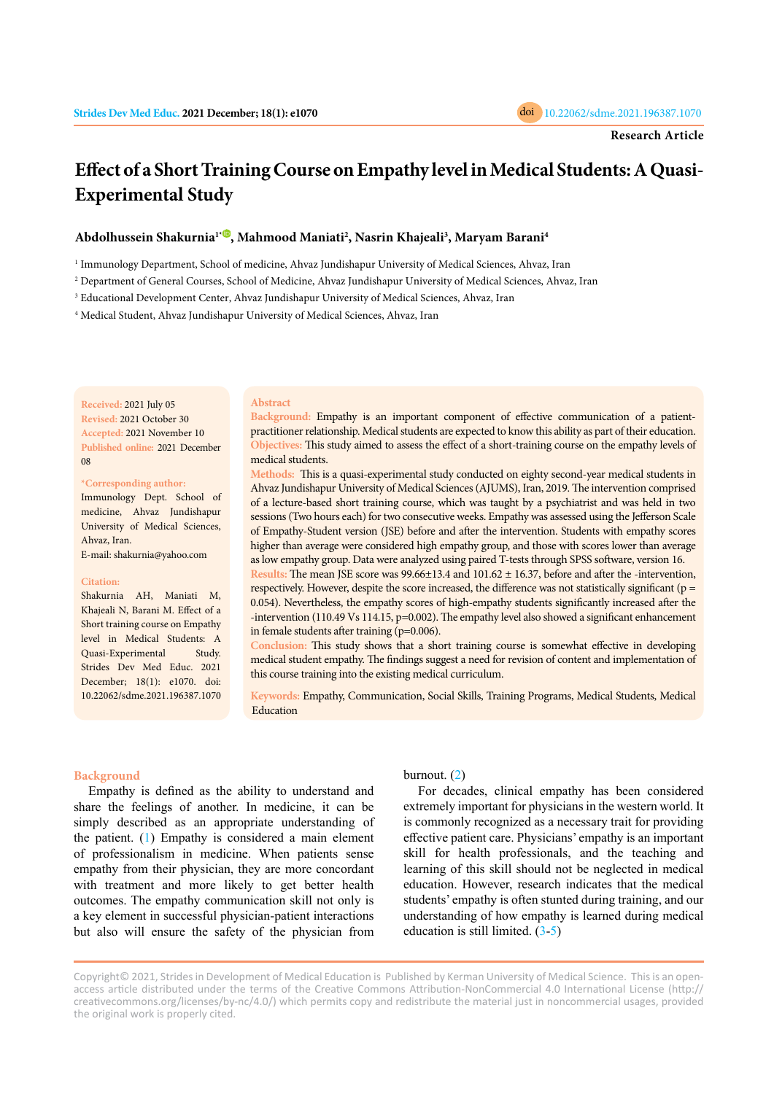

# **Effect of a Short Training Course on Empathy level in Medical Students: A Quasi-Experimental Study**

# **Abdolhussein Shakurnia1[\\*](https://orcid.org/0000-0003-3354-2917) , Mahmood Maniati2 , Nasrin Khajeali3 , Maryam Barani4**

1 Immunology Department, School of medicine, Ahvaz Jundishapur University of Medical Sciences, Ahvaz, Iran

2 Department of General Courses, School of Medicine, Ahvaz Jundishapur University of Medical Sciences, Ahvaz, Iran

3 Educational Development Center, Ahvaz Jundishapur University of Medical Sciences, Ahvaz, Iran

4 Medical Student, Ahvaz Jundishapur University of Medical Sciences, Ahvaz, Iran

**Received:** 2021 July 05 **Revised:** 2021 October 30 **Accepted:** 2021 November 10 **Published online:** 2021 December 08

### **\*Corresponding author:**

Immunology Dept. School of medicine, Ahvaz Jundishapur University of Medical Sciences, Ahvaz, Iran.

E-mail: shakurnia@yahoo.com

### **Citation:**

Shakurnia AH, Maniati M, Khajeali N, Barani M. Effect of a Short training course on Empathy level in Medical Students: A Quasi-Experimental Study. Strides Dev Med Educ. 2021 December; 18(1): e1070. doi: 10.22062/sdme.2021.196387.1070

## **Abstract**

**Background:** Empathy is an important component of effective communication of a patientpractitioner relationship. Medical students are expected to know this ability as part of their education. **Objectives:** This study aimed to assess the effect of a short-training course on the empathy levels of medical students.

**Methods:** This is a quasi-experimental study conducted on eighty second-year medical students in Ahvaz Jundishapur University of Medical Sciences (AJUMS), Iran, 2019. The intervention comprised of a lecture-based short training course, which was taught by a psychiatrist and was held in two sessions (Two hours each) for two consecutive weeks. Empathy was assessed using the Jefferson Scale of Empathy-Student version (JSE) before and after the intervention. Students with empathy scores higher than average were considered high empathy group, and those with scores lower than average as low empathy group. Data were analyzed using paired T-tests through SPSS software, version 16.

**Results:** The mean JSE score was 99.66±13.4 and 101.62 ± 16.37, before and after the -intervention, respectively. However, despite the score increased, the difference was not statistically significant (p = 0.054). Nevertheless, the empathy scores of high-empathy students significantly increased after the -intervention (110.49 Vs 114.15, p=0.002). The empathy level also showed a significant enhancement in female students after training (p=0.006).

**Conclusion:** This study shows that a short training course is somewhat effective in developing medical student empathy. The findings suggest a need for revision of content and implementation of this course training into the existing medical curriculum.

**Keywords:** Empathy, Communication, Social Skills, Training Programs, Medical Students, Medical Education

# **Background**

Empathy is defined as the ability to understand and share the feelings of another. In medicine, it can be simply described as an appropriate understanding of the patient. ([1](#page-4-0)) Empathy is considered a main element of professionalism in medicine. When patients sense empathy from their physician, they are more concordant with treatment and more likely to get better health outcomes. The empathy communication skill not only is a key element in successful physician-patient interactions but also will ensure the safety of the physician from

burnout. ([2\)](#page-4-0)

For decades, clinical empathy has been considered extremely important for physicians in the western world. It is commonly recognized as a necessary trait for providing effective patient care. Physicians' empathy is an important skill for health professionals, and the teaching and learning of this skill should not be neglected in medical education. However, research indicates that the medical students' empathy is often stunted during training, and our understanding of how empathy is learned during medical education is still limited. ([3](#page-4-0)-[5](#page-4-0))

Copyright© 2021, Strides in Development of Medical Education is Published by Kerman University of Medical Science. This is an openaccess article distributed under the terms of the Creative Commons Attribution-NonCommercial 4.0 International License (http:// creativecommons.org/licenses/by-nc/4.0/) which permits copy and redistribute the material just in noncommercial usages, provided the original work is properly cited.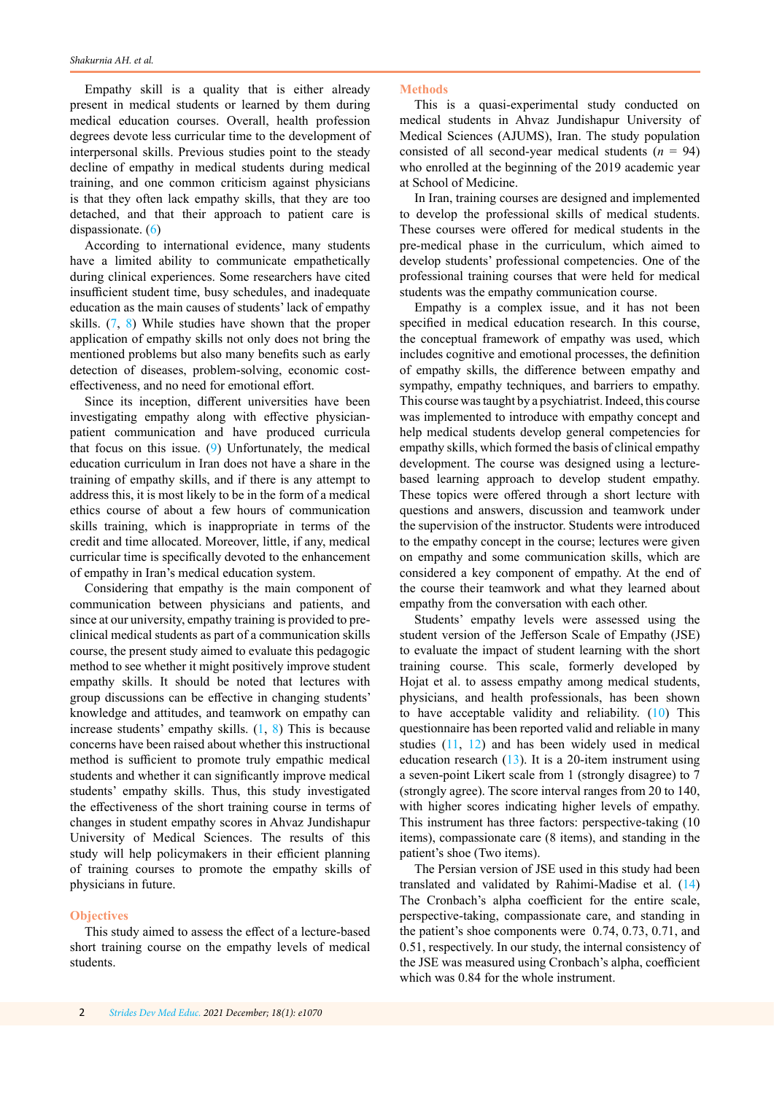Empathy skill is a quality that is either already present in medical students or learned by them during medical education courses. Overall, health profession degrees devote less curricular time to the development of interpersonal skills. Previous studies point to the steady decline of empathy in medical students during medical training, and one common criticism against physicians is that they often lack empathy skills, that they are too detached, and that their approach to patient care is dispassionate. ([6\)](#page-4-0)

According to international evidence, many students have a limited ability to communicate empathetically during clinical experiences. Some researchers have cited insufficient student time, busy schedules, and inadequate education as the main causes of students' lack of empathy skills. ([7](#page-4-0), [8](#page-4-0)) While studies have shown that the proper application of empathy skills not only does not bring the mentioned problems but also many benefits such as early detection of diseases, problem-solving, economic costeffectiveness, and no need for emotional effort.

Since its inception, different universities have been investigating empathy along with effective physicianpatient communication and have produced curricula that focus on this issue. ([9](#page-4-0)) Unfortunately, the medical education curriculum in Iran does not have a share in the training of empathy skills, and if there is any attempt to address this, it is most likely to be in the form of a medical ethics course of about a few hours of communication skills training, which is inappropriate in terms of the credit and time allocated. Moreover, little, if any, medical curricular time is specifically devoted to the enhancement of empathy in Iran's medical education system.

Considering that empathy is the main component of communication between physicians and patients, and since at our university, empathy training is provided to preclinical medical students as part of a communication skills course, the present study aimed to evaluate this pedagogic method to see whether it might positively improve student empathy skills. It should be noted that lectures with group discussions can be effective in changing students' knowledge and attitudes, and teamwork on empathy can increase students' empathy skills. ([1](#page-4-0), [8](#page-4-0)) This is because concerns have been raised about whether this instructional method is sufficient to promote truly empathic medical students and whether it can significantly improve medical students' empathy skills. Thus, this study investigated the effectiveness of the short training course in terms of changes in student empathy scores in Ahvaz Jundishapur University of Medical Sciences. The results of this study will help policymakers in their efficient planning of training courses to promote the empathy skills of physicians in future.

# **Objectives**

This study aimed to assess the effect of a lecture-based short training course on the empathy levels of medical students.

## **Methods**

This is a quasi-experimental study conducted on medical students in Ahvaz Jundishapur University of Medical Sciences (AJUMS), Iran. The study population consisted of all second-year medical students  $(n = 94)$ who enrolled at the beginning of the 2019 academic year at School of Medicine.

In Iran, training courses are designed and implemented to develop the professional skills of medical students. These courses were offered for medical students in the pre-medical phase in the curriculum, which aimed to develop students' professional competencies. One of the professional training courses that were held for medical students was the empathy communication course.

Empathy is a complex issue, and it has not been specified in medical education research. In this course, the conceptual framework of empathy was used, which includes cognitive and emotional processes, the definition of empathy skills, the difference between empathy and sympathy, empathy techniques, and barriers to empathy. This course was taught by a psychiatrist. Indeed, this course was implemented to introduce with empathy concept and help medical students develop general competencies for empathy skills, which formed the basis of clinical empathy development. The course was designed using a lecturebased learning approach to develop student empathy. These topics were offered through a short lecture with questions and answers, discussion and teamwork under the supervision of the instructor. Students were introduced to the empathy concept in the course; lectures were given on empathy and some communication skills, which are considered a key component of empathy. At the end of the course their teamwork and what they learned about empathy from the conversation with each other.

Students' empathy levels were assessed using the student version of the Jefferson Scale of Empathy (JSE) to evaluate the impact of student learning with the short training course. This scale, formerly developed by Hojat et al. to assess empathy among medical students, physicians, and health professionals, has been shown to have acceptable validity and reliability. ([10\)](#page-4-0) This questionnaire has been reported valid and reliable in many studies ([11](#page-4-0), [12](#page-4-0)) and has been widely used in medical education research ([13](#page-5-0)). It is a 20-item instrument using a seven-point Likert scale from 1 (strongly disagree) to 7 (strongly agree). The score interval ranges from 20 to 140, with higher scores indicating higher levels of empathy. This instrument has three factors: perspective-taking (10 items), compassionate care (8 items), and standing in the patient's shoe (Two items).

The Persian version of JSE used in this study had been translated and validated by Rahimi-Madise et al. ([14](#page-5-0)) The Cronbach's alpha coefficient for the entire scale, perspective-taking, compassionate care, and standing in the patient's shoe components were 0.74, 0.73, 0.71, and 0.51, respectively. In our study, the internal consistency of the JSE was measured using Cronbach's alpha, coefficient which was 0.84 for the whole instrument.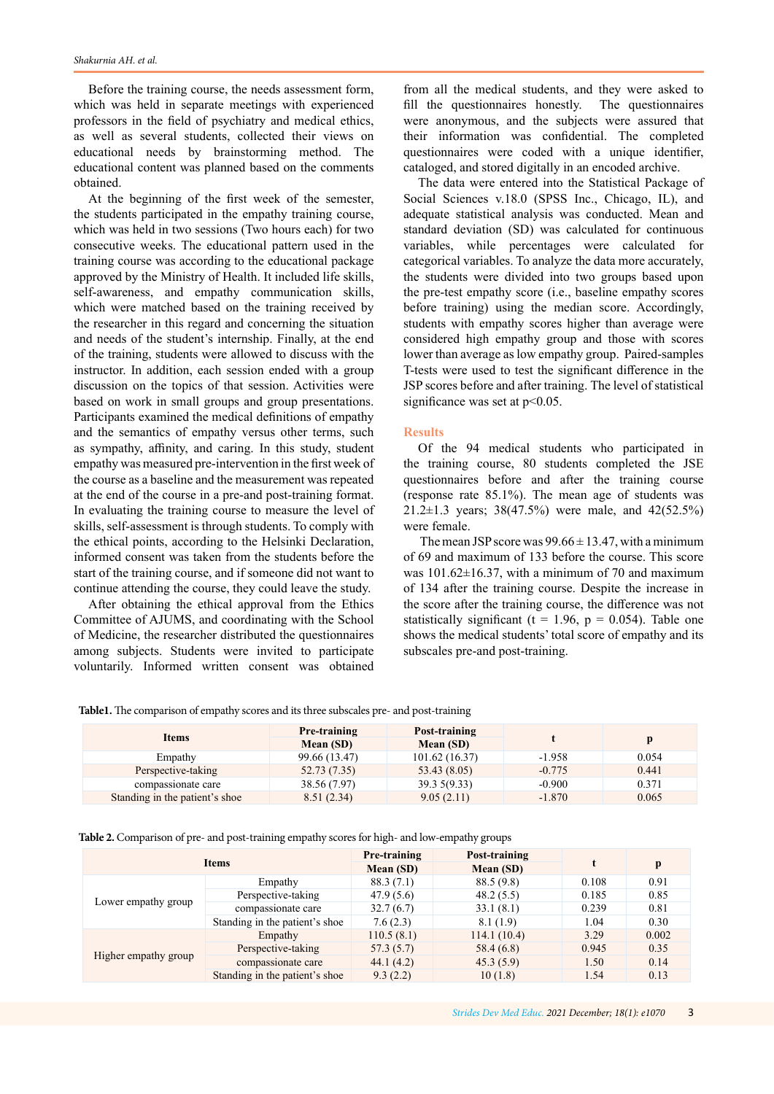Before the training course, the needs assessment form, which was held in separate meetings with experienced professors in the field of psychiatry and medical ethics, as well as several students, collected their views on educational needs by brainstorming method. The educational content was planned based on the comments obtained.

At the beginning of the first week of the semester, the students participated in the empathy training course, which was held in two sessions (Two hours each) for two consecutive weeks. The educational pattern used in the training course was according to the educational package approved by the Ministry of Health. It included life skills, self-awareness, and empathy communication skills, which were matched based on the training received by the researcher in this regard and concerning the situation and needs of the student's internship. Finally, at the end of the training, students were allowed to discuss with the instructor. In addition, each session ended with a group discussion on the topics of that session. Activities were based on work in small groups and group presentations. Participants examined the medical definitions of empathy and the semantics of empathy versus other terms, such as sympathy, affinity, and caring. In this study, student empathy was measured pre-intervention in the first week of the course as a baseline and the measurement was repeated at the end of the course in a pre-and post-training format. In evaluating the training course to measure the level of skills, self-assessment is through students. To comply with the ethical points, according to the Helsinki Declaration, informed consent was taken from the students before the start of the training course, and if someone did not want to continue attending the course, they could leave the study.

After obtaining the ethical approval from the Ethics Committee of AJUMS, and coordinating with the School of Medicine, the researcher distributed the questionnaires among subjects. Students were invited to participate voluntarily. Informed written consent was obtained

from all the medical students, and they were asked to fill the questionnaires honestly. The questionnaires were anonymous, and the subjects were assured that their information was confidential. The completed questionnaires were coded with a unique identifier, cataloged, and stored digitally in an encoded archive.

The data were entered into the Statistical Package of Social Sciences v.18.0 (SPSS Inc., Chicago, IL), and adequate statistical analysis was conducted. Mean and standard deviation (SD) was calculated for continuous variables, while percentages were calculated for categorical variables. To analyze the data more accurately, the students were divided into two groups based upon the pre-test empathy score (i.e., baseline empathy scores before training) using the median score. Accordingly, students with empathy scores higher than average were considered high empathy group and those with scores lower than average as low empathy group. Paired-samples T-tests were used to test the significant difference in the JSP scores before and after training. The level of statistical significance was set at  $p<0.05$ .

## **Results**

Of the 94 medical students who participated in the training course, 80 students completed the JSE questionnaires before and after the training course (response rate 85.1%). The mean age of students was 21.2±1.3 years; 38(47.5%) were male, and 42(52.5%) were female.

The mean JSP score was  $99.66 \pm 13.47$ , with a minimum of 69 and maximum of 133 before the course. This score was  $101.62 \pm 16.37$ , with a minimum of 70 and maximum of 134 after the training course. Despite the increase in the score after the training course, the difference was not statistically significant (t = 1.96,  $p = 0.054$ ). Table one shows the medical students' total score of empathy and its subscales pre-and post-training.

**Table1.** The comparison of empathy scores and its three subscales pre- and post-training

| <b>Items</b>                   | Pre-training<br>Mean (SD) | Post-training<br>Mean (SD) |          |       |
|--------------------------------|---------------------------|----------------------------|----------|-------|
| Empathy                        | 99.66 (13.47)             | 101.62 (16.37)             | $-1.958$ | 0.054 |
| Perspective-taking             | 52.73 (7.35)              | 53.43(8.05)                | $-0.775$ | 0.441 |
| compassionate care             | 38.56 (7.97)              | 39.35(9.33)                | $-0.900$ | 0.371 |
| Standing in the patient's shoe | 8.51(2.34)                | 9.05(2.11)                 | $-1.870$ | 0.065 |

**Table 2.** Comparison of pre- and post-training empathy scores for high- and low-empathy groups

| <b>Items</b>         |                                | Pre-training<br>Mean (SD) | Post-training<br>Mean (SD) |       | р     |
|----------------------|--------------------------------|---------------------------|----------------------------|-------|-------|
| Lower empathy group  | Empathy                        | 88.3(7.1)                 | 88.5 (9.8)                 | 0.108 | 0.91  |
|                      | Perspective-taking             | 47.9(5.6)                 | 48.2(5.5)                  | 0.185 | 0.85  |
|                      | compassionate care             | 32.7(6.7)                 | 33.1(8.1)                  | 0.239 | 0.81  |
|                      | Standing in the patient's shoe | 7.6(2.3)                  | 8.1(1.9)                   | 1.04  | 0.30  |
| Higher empathy group | Empathy                        | 110.5(8.1)                | 114.1(10.4)                | 3.29  | 0.002 |
|                      | Perspective-taking             | 57.3(5.7)                 | 58.4(6.8)                  | 0.945 | 0.35  |
|                      | compassionate care             | 44.1(4.2)                 | 45.3(5.9)                  | 1.50  | 0.14  |
|                      | Standing in the patient's shoe | 9.3(2.2)                  | 10(1.8)                    | 1.54  | 0.13  |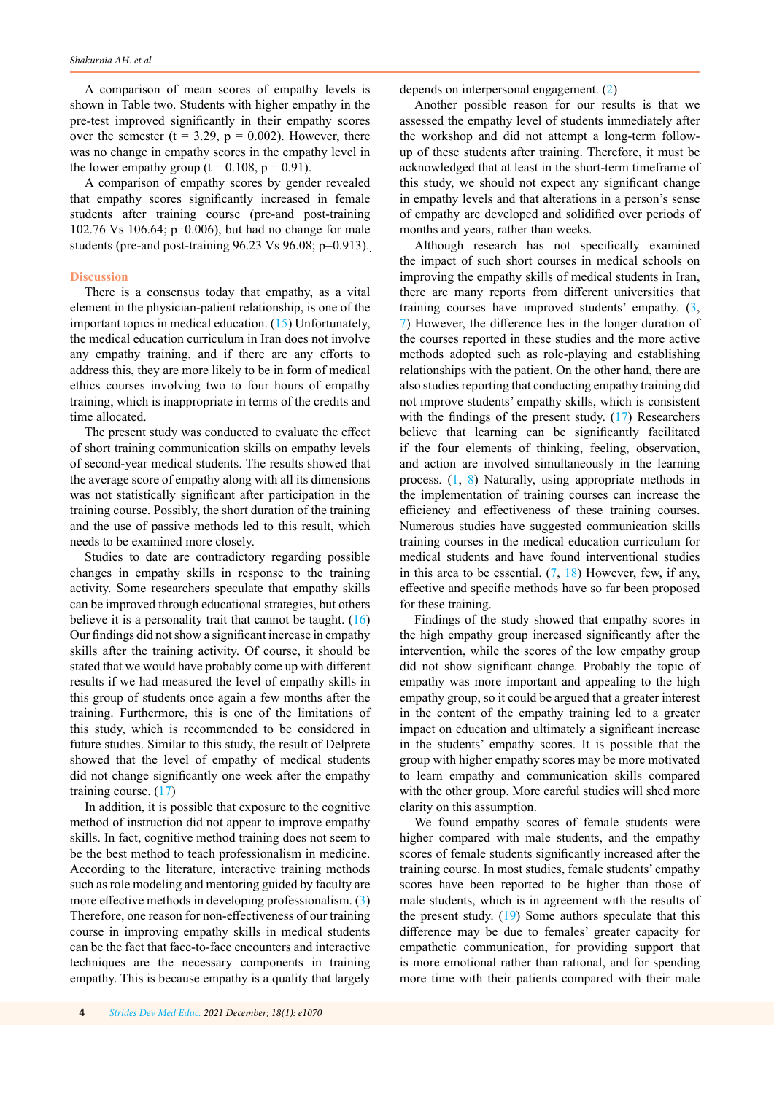A comparison of mean scores of empathy levels is shown in Table two. Students with higher empathy in the pre-test improved significantly in their empathy scores over the semester (t =  $3.29$ , p =  $0.002$ ). However, there was no change in empathy scores in the empathy level in the lower empathy group ( $t = 0.108$ ,  $p = 0.91$ ).

A comparison of empathy scores by gender revealed that empathy scores significantly increased in female students after training course (pre-and post-training 102.76 Vs 106.64; p=0.006), but had no change for male students (pre-and post-training 96.23 Vs 96.08; p=0.913).

## **Discussion**

There is a consensus today that empathy, as a vital element in the physician-patient relationship, is one of the important topics in medical education. ([15](#page-5-0)) Unfortunately, the medical education curriculum in Iran does not involve any empathy training, and if there are any efforts to address this, they are more likely to be in form of medical ethics courses involving two to four hours of empathy training, which is inappropriate in terms of the credits and time allocated.

The present study was conducted to evaluate the effect of short training communication skills on empathy levels of second-year medical students. The results showed that the average score of empathy along with all its dimensions was not statistically significant after participation in the training course. Possibly, the short duration of the training and the use of passive methods led to this result, which needs to be examined more closely.

Studies to date are contradictory regarding possible changes in empathy skills in response to the training activity. Some researchers speculate that empathy skills can be improved through educational strategies, but others believe it is a personality trait that cannot be taught.  $(16)$  $(16)$ Our findings did not show a significant increase in empathy skills after the training activity. Of course, it should be stated that we would have probably come up with different results if we had measured the level of empathy skills in this group of students once again a few months after the training. Furthermore, this is one of the limitations of this study, which is recommended to be considered in future studies. Similar to this study, the result of Delprete showed that the level of empathy of medical students did not change significantly one week after the empathy training course. ([17\)](#page-5-0)

In addition, it is possible that exposure to the cognitive method of instruction did not appear to improve empathy skills. In fact, cognitive method training does not seem to be the best method to teach professionalism in medicine. According to the literature, interactive training methods such as role modeling and mentoring guided by faculty are more effective methods in developing professionalism. ([3\)](#page-4-0) Therefore, one reason for non-effectiveness of our training course in improving empathy skills in medical students can be the fact that face-to-face encounters and interactive techniques are the necessary components in training empathy. This is because empathy is a quality that largely depends on interpersonal engagement. ([2\)](#page-4-0)

Another possible reason for our results is that we assessed the empathy level of students immediately after the workshop and did not attempt a long-term followup of these students after training. Therefore, it must be acknowledged that at least in the short-term timeframe of this study, we should not expect any significant change in empathy levels and that alterations in a person's sense of empathy are developed and solidified over periods of months and years, rather than weeks.

Although research has not specifically examined the impact of such short courses in medical schools on improving the empathy skills of medical students in Iran, there are many reports from different universities that training courses have improved students' empathy. ([3](#page-4-0), [7](#page-4-0)) However, the difference lies in the longer duration of the courses reported in these studies and the more active methods adopted such as role-playing and establishing relationships with the patient. On the other hand, there are also studies reporting that conducting empathy training did not improve students' empathy skills, which is consistent with the findings of the present study. ([17](#page-5-0)) Researchers believe that learning can be significantly facilitated if the four elements of thinking, feeling, observation, and action are involved simultaneously in the learning process. ([1](#page-4-0), [8](#page-4-0)) Naturally, using appropriate methods in the implementation of training courses can increase the efficiency and effectiveness of these training courses. Numerous studies have suggested communication skills training courses in the medical education curriculum for medical students and have found interventional studies in this area to be essential.  $(7, 18)$  $(7, 18)$  $(7, 18)$  $(7, 18)$  $(7, 18)$  However, few, if any, effective and specific methods have so far been proposed for these training.

Findings of the study showed that empathy scores in the high empathy group increased significantly after the intervention, while the scores of the low empathy group did not show significant change. Probably the topic of empathy was more important and appealing to the high empathy group, so it could be argued that a greater interest in the content of the empathy training led to a greater impact on education and ultimately a significant increase in the students' empathy scores. It is possible that the group with higher empathy scores may be more motivated to learn empathy and communication skills compared with the other group. More careful studies will shed more clarity on this assumption.

We found empathy scores of female students were higher compared with male students, and the empathy scores of female students significantly increased after the training course. In most studies, female students' empathy scores have been reported to be higher than those of male students, which is in agreement with the results of the present study.  $(19)$  $(19)$  $(19)$  Some authors speculate that this difference may be due to females' greater capacity for empathetic communication, for providing support that is more emotional rather than rational, and for spending more time with their patients compared with their male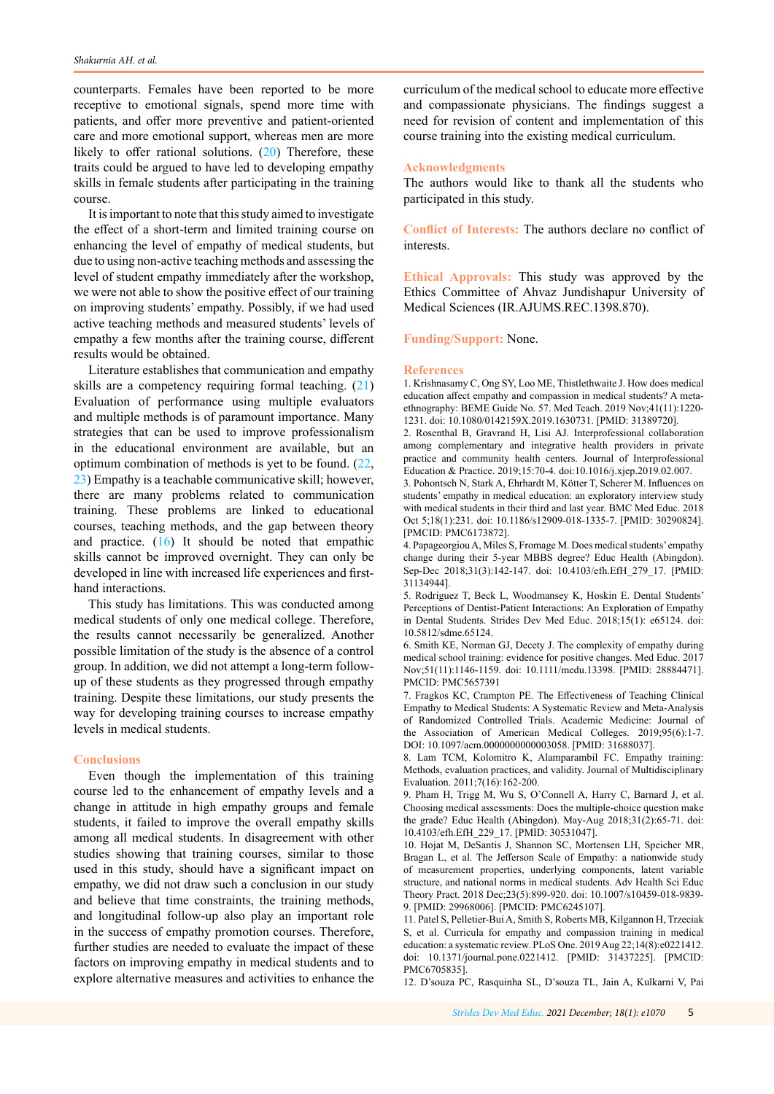<span id="page-4-0"></span>counterparts. Females have been reported to be more receptive to emotional signals, spend more time with patients, and offer more preventive and patient-oriented care and more emotional support, whereas men are more likely to offer rational solutions. ([20\)](#page-5-0) Therefore, these traits could be argued to have led to developing empathy skills in female students after participating in the training course.

It is important to note that this study aimed to investigate the effect of a short-term and limited training course on enhancing the level of empathy of medical students, but due to using non-active teaching methods and assessing the level of student empathy immediately after the workshop, we were not able to show the positive effect of our training on improving students' empathy. Possibly, if we had used active teaching methods and measured students' levels of empathy a few months after the training course, different results would be obtained.

Literature establishes that communication and empathy skills are a competency requiring formal teaching. ([21](#page-5-0)) Evaluation of performance using multiple evaluators and multiple methods is of paramount importance. Many strategies that can be used to improve professionalism in the educational environment are available, but an optimum combination of methods is yet to be found. ([22](#page-5-0), [23](#page-5-0)) Empathy is a teachable communicative skill; however, there are many problems related to communication training. These problems are linked to educational courses, teaching methods, and the gap between theory and practice.  $(16)$  $(16)$  $(16)$  It should be noted that empathic skills cannot be improved overnight. They can only be developed in line with increased life experiences and firsthand interactions.

This study has limitations. This was conducted among medical students of only one medical college. Therefore, the results cannot necessarily be generalized. Another possible limitation of the study is the absence of a control group. In addition, we did not attempt a long-term followup of these students as they progressed through empathy training. Despite these limitations, our study presents the way for developing training courses to increase empathy levels in medical students.

## **Conclusions**

Even though the implementation of this training course led to the enhancement of empathy levels and a change in attitude in high empathy groups and female students, it failed to improve the overall empathy skills among all medical students. In disagreement with other studies showing that training courses, similar to those used in this study, should have a significant impact on empathy, we did not draw such a conclusion in our study and believe that time constraints, the training methods, and longitudinal follow-up also play an important role in the success of empathy promotion courses. Therefore, further studies are needed to evaluate the impact of these factors on improving empathy in medical students and to explore alternative measures and activities to enhance the

curriculum of the medical school to educate more effective and compassionate physicians. The findings suggest a need for revision of content and implementation of this course training into the existing medical curriculum.

## **Acknowledgments**

The authors would like to thank all the students who participated in this study.

**Conflict of Interests:** The authors declare no conflict of interests.

**Ethical Approvals:** This study was approved by the Ethics Committee of Ahvaz Jundishapur University of Medical Sciences (IR.AJUMS.REC.1398.870).

**Funding/Support:** None.

### **References**

1. Krishnasamy C, Ong SY, Loo ME, Thistlethwaite J. How does medical education affect empathy and compassion in medical students? A metaethnography: BEME Guide No. 57. Med Teach. 2019 Nov;41(11):1220- 1231. doi: 10.1080/0142159X.2019.1630731. [PMID: 31389720].

2. Rosenthal B, Gravrand H, Lisi AJ. Interprofessional collaboration among complementary and integrative health providers in private practice and community health centers. Journal of Interprofessional Education & Practice. 2019;15:70-4. doi:10.1016/j.xjep.2019.02.007.

3. Pohontsch N, Stark A, Ehrhardt M, Kötter T, Scherer M. Influences on students' empathy in medical education: an exploratory interview study with medical students in their third and last year. BMC Med Educ. 2018 Oct 5;18(1):231. doi: 10.1186/s12909-018-1335-7. [PMID: 30290824]. [PMCID: [PMC6173872\]](http://www.ncbi.nlm.nih.gov/pmc/articles/pmc6173872/).

4. Papageorgiou A, Miles S, Fromage M. Does medical students' empathy change during their 5-year MBBS degree? Educ Health (Abingdon). Sep-Dec 2018;31(3):142-147. doi: 10.4103/efh.EfH\_279\_17. [PMID: 31134944].

5. Rodriguez T, Beck L, Woodmansey K, Hoskin E. Dental Students' Perceptions of Dentist-Patient Interactions: An Exploration of Empathy in Dental Students. Strides Dev Med Educ. 2018;15(1): e65124. doi: 10.5812/sdme.65124.

6. Smith KE, Norman GJ, Decety J. The complexity of empathy during medical school training: evidence for positive changes. Med Educ. 2017 Nov;51(11):1146-1159. doi: 10.1111/medu.13398. [PMID: 28884471]. PMCID: PMC5657391

7. Fragkos KC, Crampton PE. The Effectiveness of Teaching Clinical Empathy to Medical Students: A Systematic Review and Meta-Analysis of Randomized Controlled Trials. Academic Medicine: Journal of the Association of American Medical Colleges. 2019;95(6):1-7. DOI: [10.1097/acm.0000000000003058](https://doi.org/10.1097/acm.0000000000003058). [PMID: 31688037].

8. Lam TCM, Kolomitro K, Alamparambil FC. Empathy training: Methods, evaluation practices, and validity. Journal of Multidisciplinary Evaluation. 2011;7(16):162-200.

9. Pham H, Trigg M, Wu S, O'Connell A, Harry C, Barnard J, et al. Choosing medical assessments: Does the multiple-choice question make the grade? Educ Health (Abingdon). May-Aug 2018;31(2):65-71. doi: 10.4103/efh.EfH\_229\_17. [PMID: 30531047].

10. Hojat M, DeSantis J, Shannon SC, Mortensen LH, Speicher MR, Bragan L, et al. The Jefferson Scale of Empathy: a nationwide study of measurement properties, underlying components, latent variable structure, and national norms in medical students. Adv Health Sci Educ Theory Pract. 2018 Dec;23(5):899-920. doi: 10.1007/s10459-018-9839- 9. [PMID: 29968006]. [PMCID: PMC6245107].

11. Patel S, Pelletier-Bui A, Smith S, Roberts MB, Kilgannon H, Trzeciak S, et al. Curricula for empathy and compassion training in medical education: a systematic review. PLoS One. 2019 Aug 22;14(8):e0221412. doi: 10.1371/journal.pone.0221412. [PMID: 31437225]. [PMCID: PMC6705835].

12. D'souza PC, Rasquinha SL, D'souza TL, Jain A, Kulkarni V, Pai